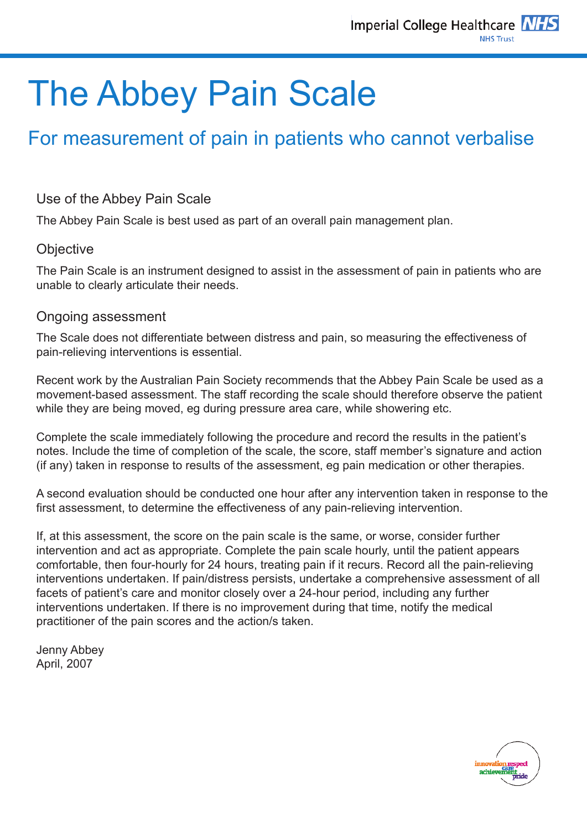# The Abbey Pain Scale

### For measurement of pain in patients who cannot verbalise

### Use of the Abbey Pain Scale

The Abbey Pain Scale is best used as part of an overall pain management plan.

#### **Objective**

The Pain Scale is an instrument designed to assist in the assessment of pain in patients who are unable to clearly articulate their needs.

#### Ongoing assessment

The Scale does not differentiate between distress and pain, so measuring the effectiveness of pain-relieving interventions is essential.

Recent work by the Australian Pain Society recommends that the Abbey Pain Scale be used as a movement-based assessment. The staff recording the scale should therefore observe the patient while they are being moved, eg during pressure area care, while showering etc.

Complete the scale immediately following the procedure and record the results in the patient's notes. Include the time of completion of the scale, the score, staff member's signature and action (if any) taken in response to results of the assessment, eg pain medication or other therapies.

A second evaluation should be conducted one hour after any intervention taken in response to the first assessment, to determine the effectiveness of any pain-relieving intervention.

If, at this assessment, the score on the pain scale is the same, or worse, consider further intervention and act as appropriate. Complete the pain scale hourly, until the patient appears comfortable, then four-hourly for 24 hours, treating pain if it recurs. Record all the pain-relieving interventions undertaken. If pain/distress persists, undertake a comprehensive assessment of all facets of patient's care and monitor closely over a 24-hour period, including any further interventions undertaken. If there is no improvement during that time, notify the medical practitioner of the pain scores and the action/s taken.

Jenny Abbey April, 2007